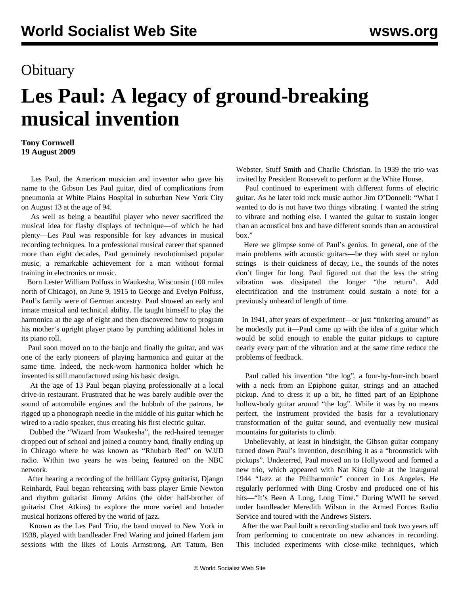## **Obituary**

## **Les Paul: A legacy of ground-breaking musical invention**

**Tony Cornwell 19 August 2009**

 Les Paul, the American musician and inventor who gave his name to the Gibson Les Paul guitar, died of complications from pneumonia at White Plains Hospital in suburban New York City on August 13 at the age of 94.

 As well as being a beautiful player who never sacrificed the musical idea for flashy displays of technique—of which he had plenty—Les Paul was responsible for key advances in musical recording techniques. In a professional musical career that spanned more than eight decades, Paul genuinely revolutionised popular music, a remarkable achievement for a man without formal training in electronics or music.

 Born Lester William Polfuss in Waukesha, Wisconsin (100 miles north of Chicago), on June 9, 1915 to George and Evelyn Polfuss, Paul's family were of German ancestry. Paul showed an early and innate musical and technical ability. He taught himself to play the harmonica at the age of eight and then discovered how to program his mother's upright player piano by punching additional holes in its piano roll.

 Paul soon moved on to the banjo and finally the guitar, and was one of the early pioneers of playing harmonica and guitar at the same time. Indeed, the neck-worn harmonica holder which he invented is still manufactured using his basic design.

 At the age of 13 Paul began playing professionally at a local drive-in restaurant. Frustrated that he was barely audible over the sound of automobile engines and the hubbub of the patrons, he rigged up a phonograph needle in the middle of his guitar which he wired to a radio speaker, thus creating his first electric guitar.

 Dubbed the "Wizard from Waukesha", the red-haired teenager dropped out of school and joined a country band, finally ending up in Chicago where he was known as "Rhubarb Red" on WJJD radio. Within two years he was being featured on the NBC network.

 After hearing a recording of the brilliant Gypsy guitarist, Django Reinhardt, Paul began rehearsing with bass player Ernie Newton and rhythm guitarist Jimmy Atkins (the older half-brother of guitarist Chet Atkins) to explore the more varied and broader musical horizons offered by the world of jazz.

 Known as the Les Paul Trio, the band moved to New York in 1938, played with bandleader Fred Waring and joined Harlem jam sessions with the likes of Louis Armstrong, Art Tatum, Ben

Webster, Stuff Smith and Charlie Christian. In 1939 the trio was invited by President Roosevelt to perform at the White House.

 Paul continued to experiment with different forms of electric guitar. As he later told rock music author Jim O'Donnell: "What I wanted to do is not have two things vibrating. I wanted the string to vibrate and nothing else. I wanted the guitar to sustain longer than an acoustical box and have different sounds than an acoustical box."

 Here we glimpse some of Paul's genius. In general, one of the main problems with acoustic guitars—be they with steel or nylon strings—is their quickness of decay, i.e., the sounds of the notes don't linger for long. Paul figured out that the less the string vibration was dissipated the longer "the return". Add electrification and the instrument could sustain a note for a previously unheard of length of time.

 In 1941, after years of experiment—or just "tinkering around" as he modestly put it—Paul came up with the idea of a guitar which would be solid enough to enable the guitar pickups to capture nearly every part of the vibration and at the same time reduce the problems of feedback.

 Paul called his invention "the log", a four-by-four-inch board with a neck from an Epiphone guitar, strings and an attached pickup. And to dress it up a bit, he fitted part of an Epiphone hollow-body guitar around "the log". While it was by no means perfect, the instrument provided the basis for a revolutionary transformation of the guitar sound, and eventually new musical mountains for guitarists to climb.

 Unbelievably, at least in hindsight, the Gibson guitar company turned down Paul's invention, describing it as a "broomstick with pickups". Undeterred, Paul moved on to Hollywood and formed a new trio, which appeared with Nat King Cole at the inaugural 1944 "Jazz at the Philharmonic" concert in Los Angeles. He regularly performed with Bing Crosby and produced one of his hits—"It's Been A Long, Long Time." During WWII he served under bandleader Meredith Wilson in the Armed Forces Radio Service and toured with the Andrews Sisters.

 After the war Paul built a recording studio and took two years off from performing to concentrate on new advances in recording. This included experiments with close-mike techniques, which